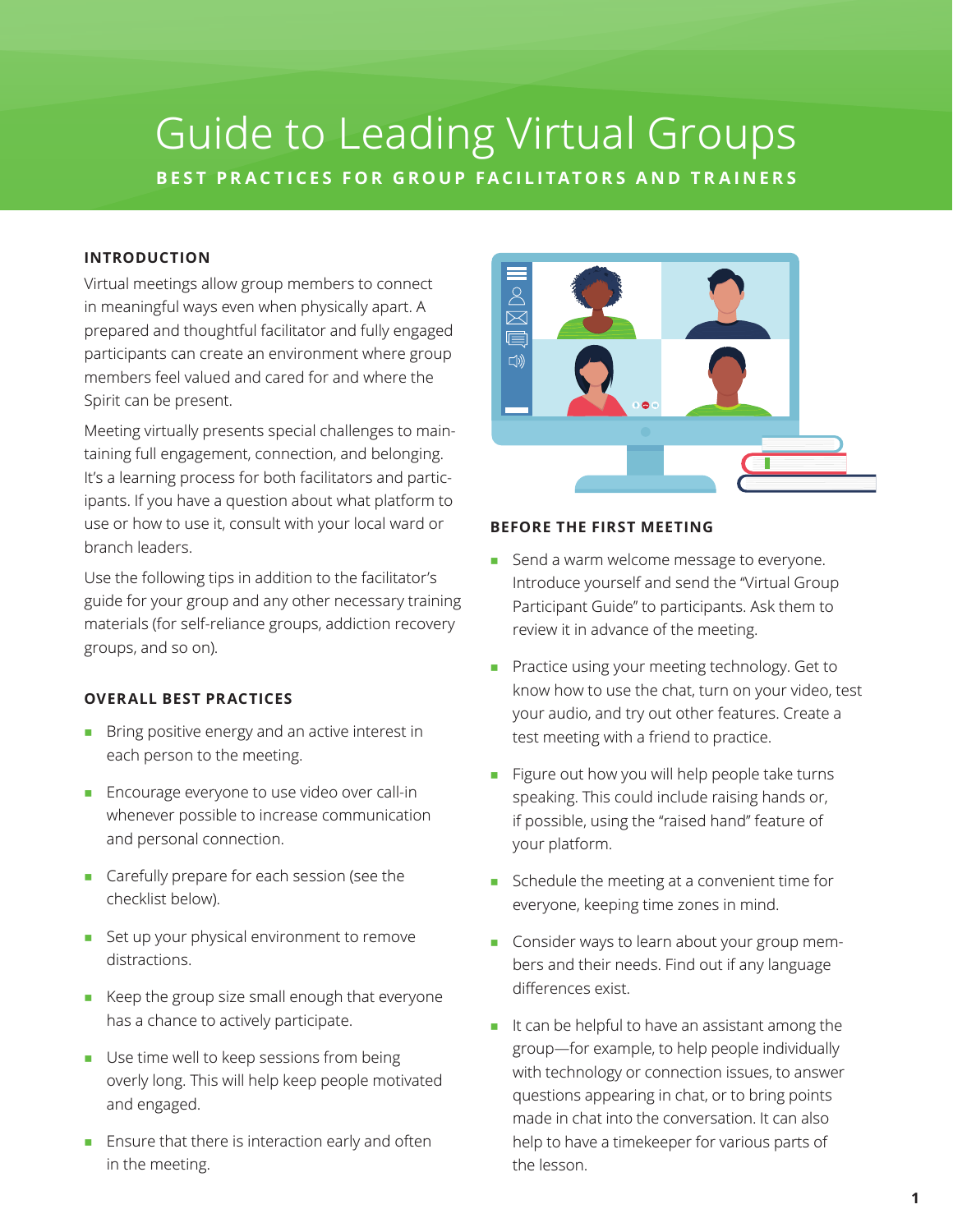# Guide to Leading Virtual Groups **BEST PRACTICES FOR GROUP FACILITATORS AND TRAINERS**

## **INTRODUCTION**

Virtual meetings allow group members to connect in meaningful ways even when physically apart. A prepared and thoughtful facilitator and fully engaged participants can create an environment where group members feel valued and cared for and where the Spirit can be present.

Meeting virtually presents special challenges to maintaining full engagement, connection, and belonging. It's a learning process for both facilitators and participants. If you have a question about what platform to use or how to use it, consult with your local ward or branch leaders.

Use the following tips in addition to the facilitator's guide for your group and any other necessary training materials (for self-reliance groups, addiction recovery groups, and so on).

## **OVERALL BEST PRACTICES**

- Bring positive energy and an active interest in each person to the meeting.
- Encourage everyone to use video over call-in whenever possible to increase communication and personal connection.
- Carefully prepare for each session (see the checklist below).
- Set up your physical environment to remove distractions.
- Keep the group size small enough that everyone has a chance to actively participate.
- Use time well to keep sessions from being overly long. This will help keep people motivated and engaged.
- Ensure that there is interaction early and often in the meeting.



#### **BEFORE THE FIRST MEETING**

- Send a warm welcome message to everyone. Introduce yourself and send the "Virtual Group Participant Guide" to participants. Ask them to review it in advance of the meeting.
- Practice using your meeting technology. Get to know how to use the chat, turn on your video, test your audio, and try out other features. Create a test meeting with a friend to practice.
- Figure out how you will help people take turns speaking. This could include raising hands or, if possible, using the "raised hand" feature of your platform.
- Schedule the meeting at a convenient time for everyone, keeping time zones in mind.
- Consider ways to learn about your group members and their needs. Find out if any language differences exist.
- It can be helpful to have an assistant among the group—for example, to help people individually with technology or connection issues, to answer questions appearing in chat, or to bring points made in chat into the conversation. It can also help to have a timekeeper for various parts of the lesson.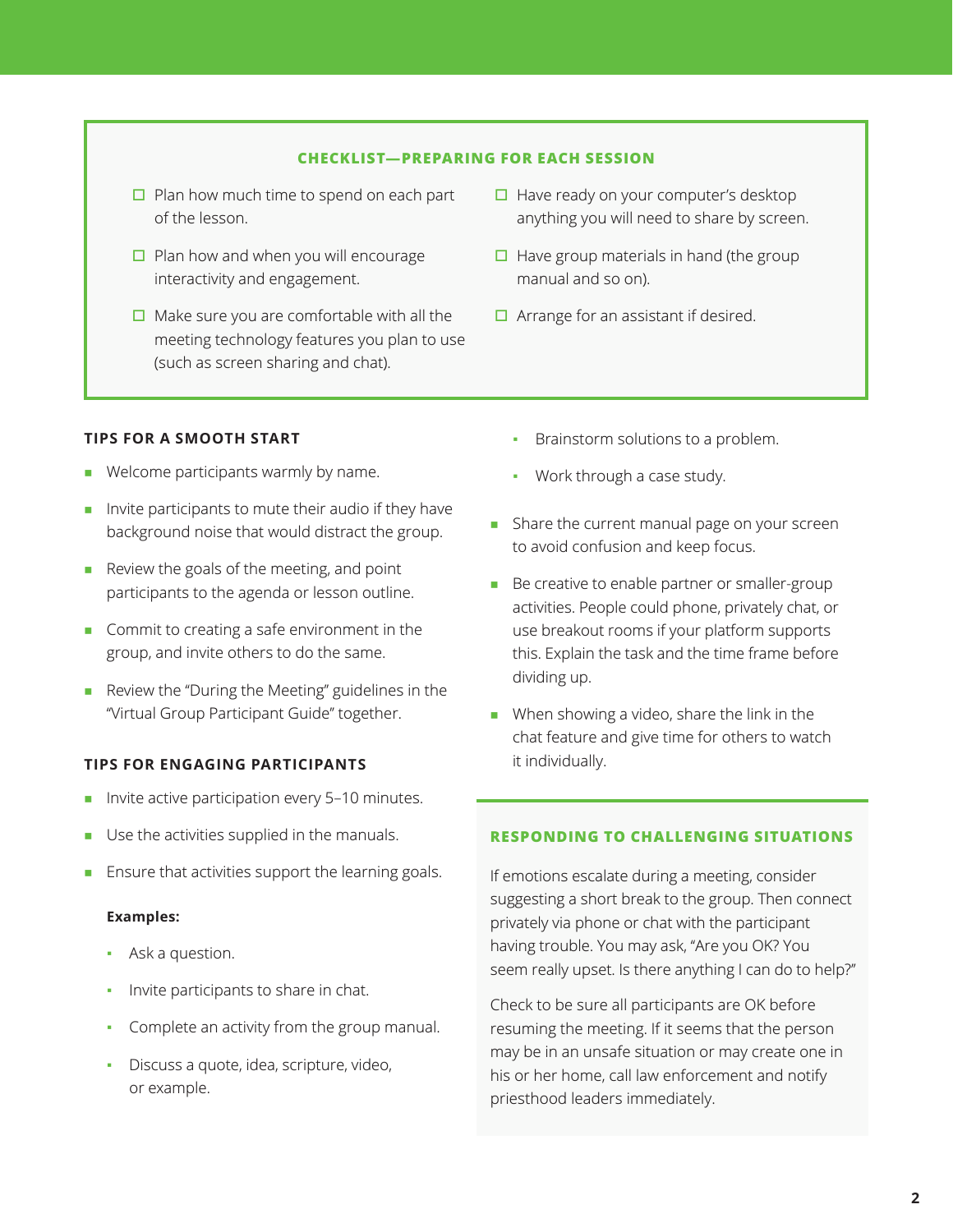## **CHECKLIST—PREPARING FOR EACH SESSION**

- $\Box$  Plan how much time to spend on each part of the lesson.
- $\Box$  Plan how and when you will encourage interactivity and engagement.
- $\Box$  Make sure you are comfortable with all the meeting technology features you plan to use (such as screen sharing and chat).
- $\Box$  Have ready on your computer's desktop anything you will need to share by screen.
- $\Box$  Have group materials in hand (the group manual and so on).
- $\Box$  Arrange for an assistant if desired.

## **TIPS FOR A SMOOTH START**

- Welcome participants warmly by name.
- Invite participants to mute their audio if they have background noise that would distract the group.
- Review the goals of the meeting, and point participants to the agenda or lesson outline.
- Commit to creating a safe environment in the group, and invite others to do the same.
- Review the "During the Meeting" guidelines in the "Virtual Group Participant Guide" together.

## **TIPS FOR ENGAGING PARTICIPANTS**

- Invite active participation every 5-10 minutes.
- Use the activities supplied in the manuals.
- Ensure that activities support the learning goals.

## **Examples:**

- Ask a question.
- Invite participants to share in chat.
- Complete an activity from the group manual.
- Discuss a quote, idea, scripture, video, or example.
- **•** Brainstorm solutions to a problem.
- Work through a case study.
- Share the current manual page on your screen to avoid confusion and keep focus.
- Be creative to enable partner or smaller-group activities. People could phone, privately chat, or use breakout rooms if your platform supports this. Explain the task and the time frame before dividing up.
- When showing a video, share the link in the chat feature and give time for others to watch it individually.

## **RESPONDING TO CHALLENGING SITUATIONS**

If emotions escalate during a meeting, consider suggesting a short break to the group. Then connect privately via phone or chat with the participant having trouble. You may ask, "Are you OK? You seem really upset. Is there anything I can do to help?"

Check to be sure all participants are OK before resuming the meeting. If it seems that the person may be in an unsafe situation or may create one in his or her home, call law enforcement and notify priesthood leaders immediately.